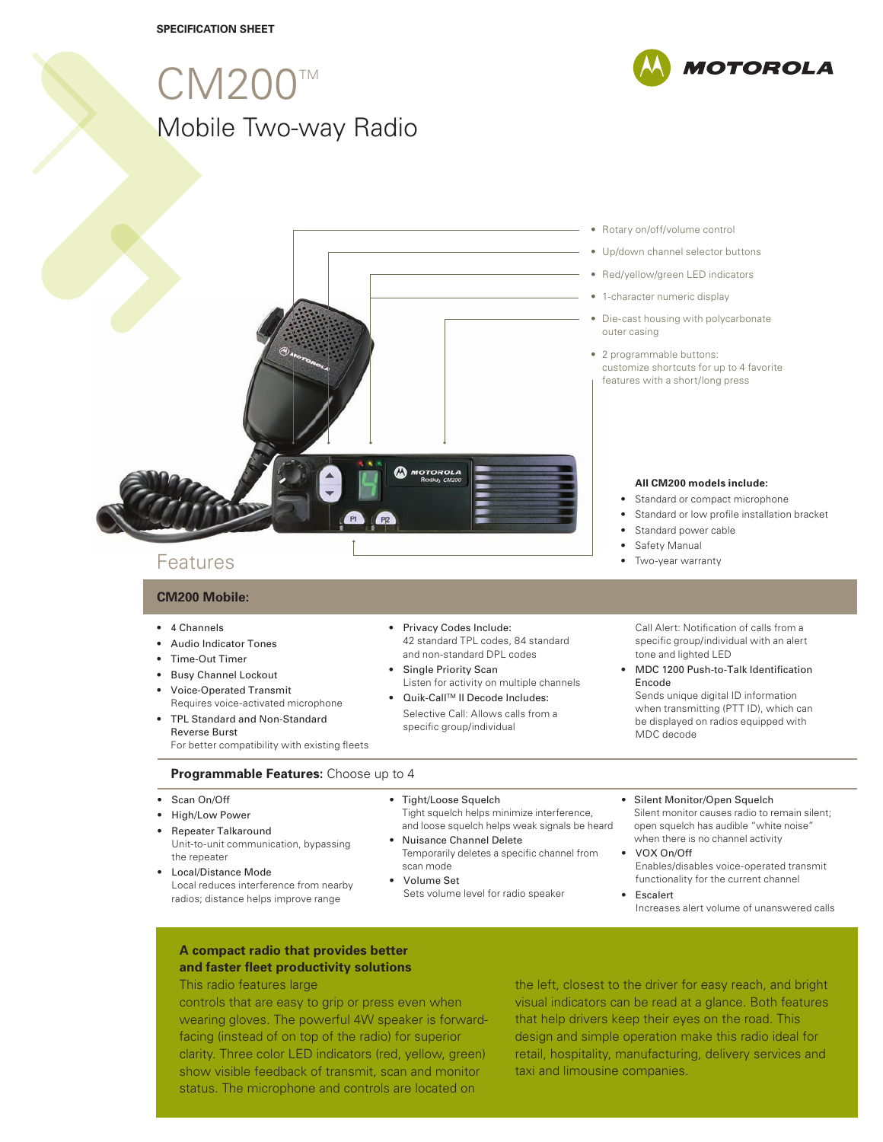## CM200 Mobile Two-way Radio TM



# **CM200 Mobile:**

- 4 Channels
- Audio Indicator Tones
- Time-Out Timer
- Busy Channel Lockout
- Voice-Operated Transmit Requires voice-activated microphone
- TPL Standard and Non-Standard Reverse Burst For better compatibility with existing fleets
- 42 standard TPL codes, 84 standard and non-standard DPL codes • Single Priority Scan

specific group/individual

• Privacy Codes Include:

 Listen for activity on multiple channels ● Quik-Call™ II Decode Includes: Selective Call: Allows calls from a

#### Call Alert: Notification of calls from a specific group/individual with an alert tone and lighted LED

• MDC 1200 Push-to-Talk Identification Encode

 Sends unique digital ID information when transmitting (PTT ID), which can be displayed on radios equipped with MDC decode

#### **Programmable Features:** Choose up to 4

- Scan On/Off
- High/Low Power
- Repeater Talkaround Unit-to-unit communication, bypassing the repeater
- Local/Distance Mode Local reduces interference from nearby radios; distance helps improve range
- Tight/Loose Squelch Tight squelch helps minimize interference, and loose squelch helps weak signals be heard
- Nuisance Channel Delete Temporarily deletes a specific channel from
- scan mode • Volume Set
- Sets volume level for radio speaker
- Silent Monitor/Open Squelch Silent monitor causes radio to remain silent; open squelch has audible "white noise" when there is no channel activity
- VOX On/Off Enables/disables voice-operated transmit functionality for the current channel
- Escalert Increases alert volume of unanswered calls

## **A compact radio that provides better and faster fleet productivity solutions**

This radio features large

controls that are easy to grip or press even when wearing gloves. The powerful 4W speaker is forwardfacing (instead of on top of the radio) for superior clarity. Three color LED indicators (red, yellow, green) show visible feedback of transmit, scan and monitor status. The microphone and controls are located on

the left, closest to the driver for easy reach, and bright visual indicators can be read at a glance. Both features that help drivers keep their eyes on the road. This design and simple operation make this radio ideal for retail, hospitality, manufacturing, delivery services and taxi and limousine companies.